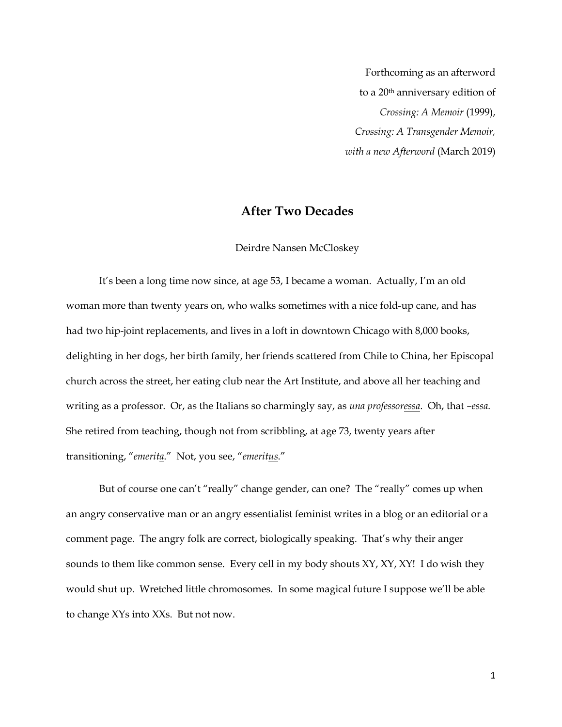Forthcoming as an afterword to a 20th anniversary edition of *Crossing: A Memoir* (1999), *Crossing: A Transgender Memoir, with a new Afterword* (March 2019)

## **After Two Decades**

## Deirdre Nansen McCloskey

It's been a long time now since, at age 53, I became a woman. Actually, I'm an old woman more than twenty years on, who walks sometimes with a nice fold-up cane, and has had two hip-joint replacements, and lives in a loft in downtown Chicago with 8,000 books, delighting in her dogs, her birth family, her friends scattered from Chile to China, her Episcopal church across the street, her eating club near the Art Institute, and above all her teaching and writing as a professor. Or, as the Italians so charmingly say, as *una professoressa*. Oh, that –*essa*. She retired from teaching, though not from scribbling, at age 73, twenty years after transitioning, "*emerita*." Not, you see, "*emeritus*."

But of course one can't "really" change gender, can one? The "really" comes up when an angry conservative man or an angry essentialist feminist writes in a blog or an editorial or a comment page. The angry folk are correct, biologically speaking. That's why their anger sounds to them like common sense. Every cell in my body shouts XY, XY, XY! I do wish they would shut up. Wretched little chromosomes. In some magical future I suppose we'll be able to change XYs into XXs. But not now.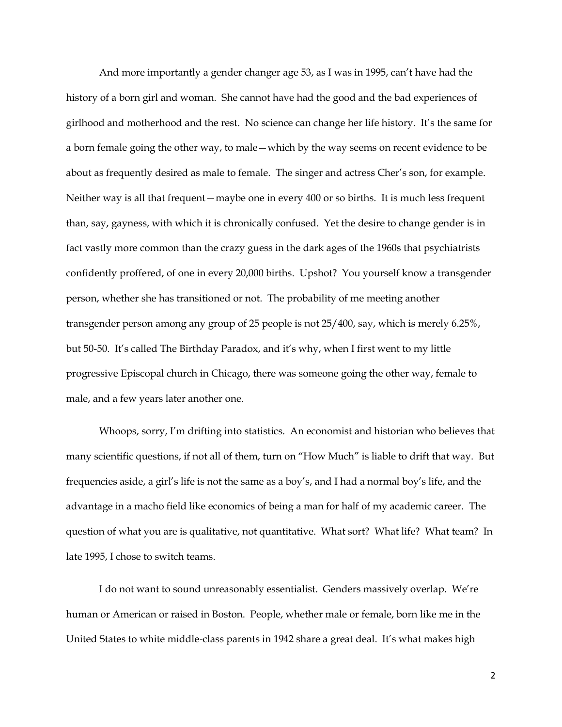And more importantly a gender changer age 53, as I was in 1995, can't have had the history of a born girl and woman. She cannot have had the good and the bad experiences of girlhood and motherhood and the rest. No science can change her life history. It's the same for a born female going the other way, to male—which by the way seems on recent evidence to be about as frequently desired as male to female. The singer and actress Cher's son, for example. Neither way is all that frequent—maybe one in every 400 or so births. It is much less frequent than, say, gayness, with which it is chronically confused. Yet the desire to change gender is in fact vastly more common than the crazy guess in the dark ages of the 1960s that psychiatrists confidently proffered, of one in every 20,000 births. Upshot? You yourself know a transgender person, whether she has transitioned or not. The probability of me meeting another transgender person among any group of 25 people is not 25/400, say, which is merely 6.25%, but 50-50. It's called The Birthday Paradox, and it's why, when I first went to my little progressive Episcopal church in Chicago, there was someone going the other way, female to male, and a few years later another one.

Whoops, sorry, I'm drifting into statistics. An economist and historian who believes that many scientific questions, if not all of them, turn on "How Much" is liable to drift that way. But frequencies aside, a girl's life is not the same as a boy's, and I had a normal boy's life, and the advantage in a macho field like economics of being a man for half of my academic career. The question of what you are is qualitative, not quantitative. What sort? What life? What team? In late 1995, I chose to switch teams.

I do not want to sound unreasonably essentialist. Genders massively overlap. We're human or American or raised in Boston. People, whether male or female, born like me in the United States to white middle-class parents in 1942 share a great deal. It's what makes high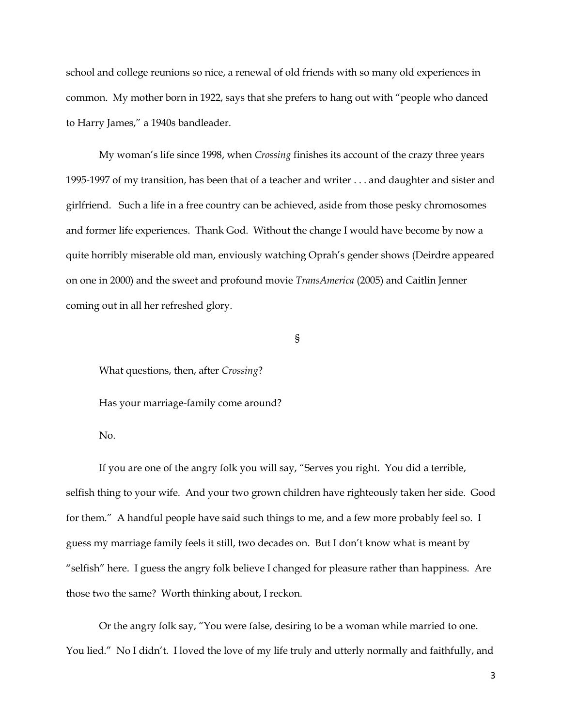school and college reunions so nice, a renewal of old friends with so many old experiences in common. My mother born in 1922, says that she prefers to hang out with "people who danced to Harry James," a 1940s bandleader.

My woman's life since 1998, when *Crossing* finishes its account of the crazy three years 1995-1997 of my transition, has been that of a teacher and writer . . . and daughter and sister and girlfriend. Such a life in a free country can be achieved, aside from those pesky chromosomes and former life experiences. Thank God. Without the change I would have become by now a quite horribly miserable old man, enviously watching Oprah's gender shows (Deirdre appeared on one in 2000) and the sweet and profound movie *TransAmerica* (2005) and Caitlin Jenner coming out in all her refreshed glory.

§

What questions, then, after *Crossing*?

Has your marriage-family come around?

No.

If you are one of the angry folk you will say, "Serves you right. You did a terrible, selfish thing to your wife. And your two grown children have righteously taken her side. Good for them." A handful people have said such things to me, and a few more probably feel so. I guess my marriage family feels it still, two decades on. But I don't know what is meant by "selfish" here. I guess the angry folk believe I changed for pleasure rather than happiness. Are those two the same? Worth thinking about, I reckon.

Or the angry folk say, "You were false, desiring to be a woman while married to one. You lied." No I didn't. I loved the love of my life truly and utterly normally and faithfully, and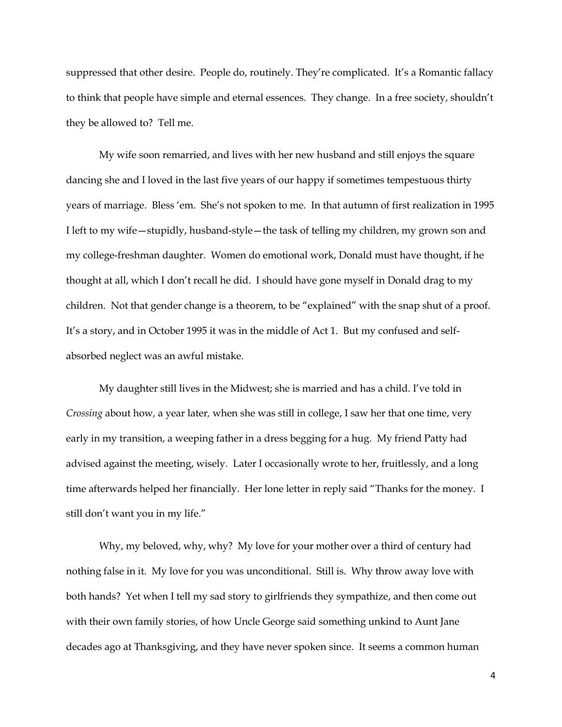suppressed that other desire. People do, routinely. They're complicated. It's a Romantic fallacy to think that people have simple and eternal essences. They change. In a free society, shouldn't they be allowed to? Tell me.

My wife soon remarried, and lives with her new husband and still enjoys the square dancing she and I loved in the last five years of our happy if sometimes tempestuous thirty years of marriage. Bless 'em. She's not spoken to me. In that autumn of first realization in 1995 I left to my wife—stupidly, husband-style—the task of telling my children, my grown son and my college-freshman daughter. Women do emotional work, Donald must have thought, if he thought at all, which I don't recall he did. I should have gone myself in Donald drag to my children. Not that gender change is a theorem, to be "explained" with the snap shut of a proof. It's a story, and in October 1995 it was in the middle of Act 1. But my confused and selfabsorbed neglect was an awful mistake.

My daughter still lives in the Midwest; she is married and has a child. I've told in *Crossing* about how*,* a year later*,* when she was still in college, I saw her that one time, very early in my transition, a weeping father in a dress begging for a hug. My friend Patty had advised against the meeting, wisely. Later I occasionally wrote to her, fruitlessly, and a long time afterwards helped her financially. Her lone letter in reply said "Thanks for the money. I still don't want you in my life."

Why, my beloved, why, why? My love for your mother over a third of century had nothing false in it. My love for you was unconditional. Still is. Why throw away love with both hands? Yet when I tell my sad story to girlfriends they sympathize, and then come out with their own family stories, of how Uncle George said something unkind to Aunt Jane decades ago at Thanksgiving, and they have never spoken since. It seems a common human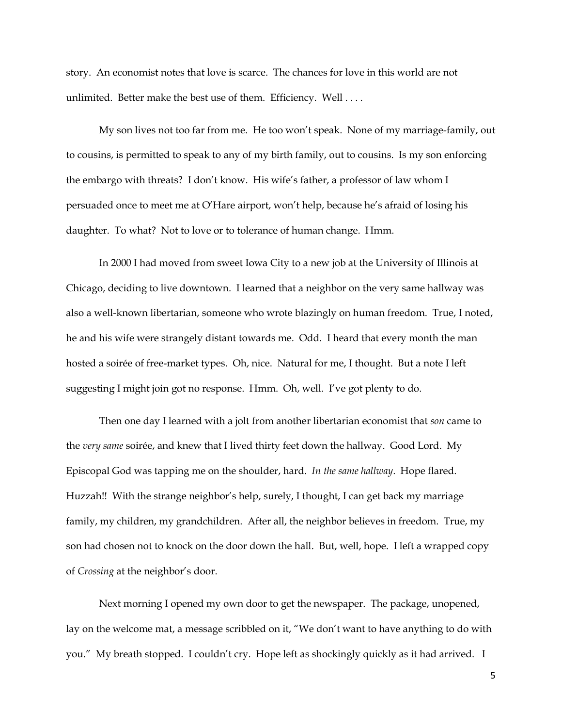story. An economist notes that love is scarce. The chances for love in this world are not unlimited. Better make the best use of them. Efficiency. Well . . . .

My son lives not too far from me. He too won't speak. None of my marriage-family, out to cousins, is permitted to speak to any of my birth family, out to cousins. Is my son enforcing the embargo with threats? I don't know. His wife's father, a professor of law whom I persuaded once to meet me at O'Hare airport, won't help, because he's afraid of losing his daughter. To what? Not to love or to tolerance of human change. Hmm.

In 2000 I had moved from sweet Iowa City to a new job at the University of Illinois at Chicago, deciding to live downtown. I learned that a neighbor on the very same hallway was also a well-known libertarian, someone who wrote blazingly on human freedom. True, I noted, he and his wife were strangely distant towards me. Odd. I heard that every month the man hosted a soirée of free-market types. Oh, nice. Natural for me, I thought. But a note I left suggesting I might join got no response. Hmm. Oh, well. I've got plenty to do.

Then one day I learned with a jolt from another libertarian economist that *son* came to the *very same* soirée, and knew that I lived thirty feet down the hallway. Good Lord. My Episcopal God was tapping me on the shoulder, hard. *In the same hallway*. Hope flared. Huzzah!! With the strange neighbor's help, surely, I thought, I can get back my marriage family, my children, my grandchildren. After all, the neighbor believes in freedom. True, my son had chosen not to knock on the door down the hall. But, well, hope. I left a wrapped copy of *Crossing* at the neighbor's door.

Next morning I opened my own door to get the newspaper. The package, unopened, lay on the welcome mat, a message scribbled on it, "We don't want to have anything to do with you." My breath stopped. I couldn't cry. Hope left as shockingly quickly as it had arrived. I

5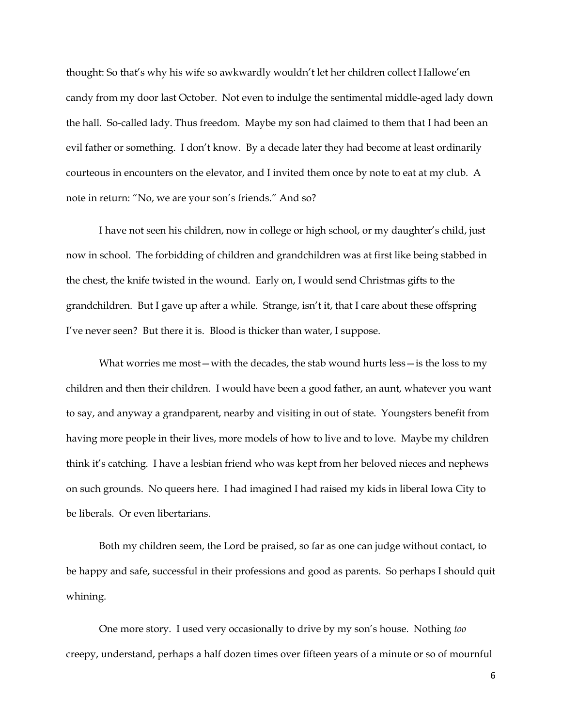thought: So that's why his wife so awkwardly wouldn't let her children collect Hallowe'en candy from my door last October. Not even to indulge the sentimental middle-aged lady down the hall. So-called lady. Thus freedom. Maybe my son had claimed to them that I had been an evil father or something. I don't know. By a decade later they had become at least ordinarily courteous in encounters on the elevator, and I invited them once by note to eat at my club. A note in return: "No, we are your son's friends." And so?

I have not seen his children, now in college or high school, or my daughter's child, just now in school. The forbidding of children and grandchildren was at first like being stabbed in the chest, the knife twisted in the wound. Early on, I would send Christmas gifts to the grandchildren. But I gave up after a while. Strange, isn't it, that I care about these offspring I've never seen? But there it is. Blood is thicker than water, I suppose.

What worries me most—with the decades, the stab wound hurts less—is the loss to my children and then their children. I would have been a good father, an aunt, whatever you want to say, and anyway a grandparent, nearby and visiting in out of state. Youngsters benefit from having more people in their lives, more models of how to live and to love. Maybe my children think it's catching. I have a lesbian friend who was kept from her beloved nieces and nephews on such grounds. No queers here. I had imagined I had raised my kids in liberal Iowa City to be liberals. Or even libertarians.

Both my children seem, the Lord be praised, so far as one can judge without contact, to be happy and safe, successful in their professions and good as parents. So perhaps I should quit whining.

One more story. I used very occasionally to drive by my son's house. Nothing *too* creepy, understand, perhaps a half dozen times over fifteen years of a minute or so of mournful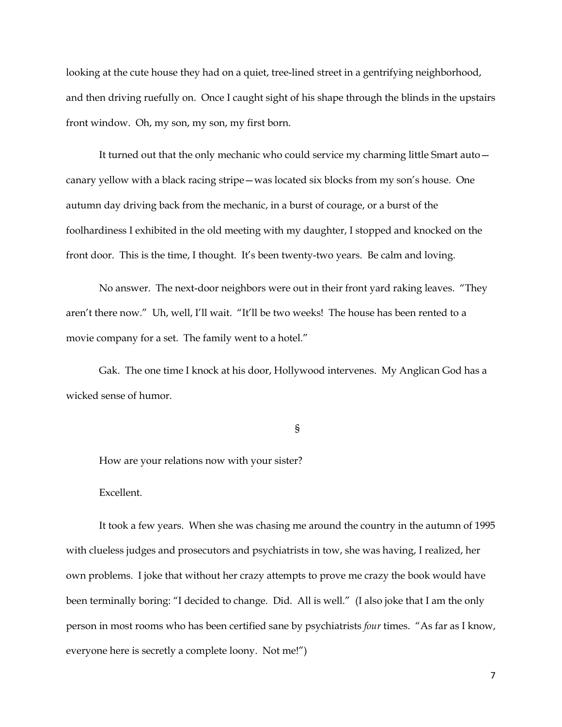looking at the cute house they had on a quiet, tree-lined street in a gentrifying neighborhood, and then driving ruefully on. Once I caught sight of his shape through the blinds in the upstairs front window. Oh, my son, my son, my first born.

It turned out that the only mechanic who could service my charming little Smart auto canary yellow with a black racing stripe—was located six blocks from my son's house. One autumn day driving back from the mechanic, in a burst of courage, or a burst of the foolhardiness I exhibited in the old meeting with my daughter, I stopped and knocked on the front door. This is the time, I thought. It's been twenty-two years. Be calm and loving.

No answer. The next-door neighbors were out in their front yard raking leaves. "They aren't there now." Uh, well, I'll wait. "It'll be two weeks! The house has been rented to a movie company for a set. The family went to a hotel."

Gak. The one time I knock at his door, Hollywood intervenes. My Anglican God has a wicked sense of humor.

§

How are your relations now with your sister?

## Excellent.

It took a few years. When she was chasing me around the country in the autumn of 1995 with clueless judges and prosecutors and psychiatrists in tow, she was having, I realized, her own problems. I joke that without her crazy attempts to prove me crazy the book would have been terminally boring: "I decided to change. Did. All is well." (I also joke that I am the only person in most rooms who has been certified sane by psychiatrists *four* times. "As far as I know, everyone here is secretly a complete loony. Not me!")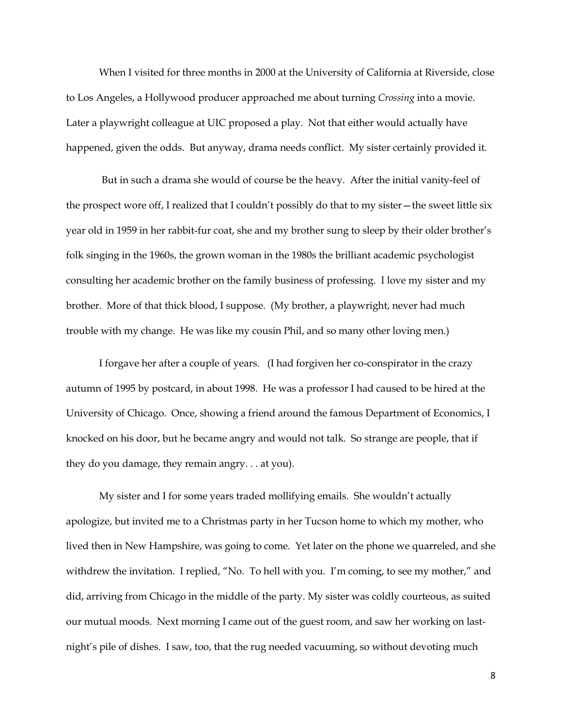When I visited for three months in 2000 at the University of California at Riverside, close to Los Angeles, a Hollywood producer approached me about turning *Crossing* into a movie. Later a playwright colleague at UIC proposed a play. Not that either would actually have happened, given the odds. But anyway, drama needs conflict. My sister certainly provided it.

But in such a drama she would of course be the heavy. After the initial vanity-feel of the prospect wore off, I realized that I couldn't possibly do that to my sister—the sweet little six year old in 1959 in her rabbit-fur coat, she and my brother sung to sleep by their older brother's folk singing in the 1960s, the grown woman in the 1980s the brilliant academic psychologist consulting her academic brother on the family business of professing. I love my sister and my brother. More of that thick blood, I suppose. (My brother, a playwright, never had much trouble with my change. He was like my cousin Phil, and so many other loving men.)

I forgave her after a couple of years. (I had forgiven her co-conspirator in the crazy autumn of 1995 by postcard, in about 1998. He was a professor I had caused to be hired at the University of Chicago. Once, showing a friend around the famous Department of Economics, I knocked on his door, but he became angry and would not talk. So strange are people, that if they do you damage, they remain angry. . . at you).

My sister and I for some years traded mollifying emails. She wouldn't actually apologize, but invited me to a Christmas party in her Tucson home to which my mother, who lived then in New Hampshire, was going to come. Yet later on the phone we quarreled, and she withdrew the invitation. I replied, "No. To hell with you. I'm coming, to see my mother," and did, arriving from Chicago in the middle of the party. My sister was coldly courteous, as suited our mutual moods. Next morning I came out of the guest room, and saw her working on lastnight's pile of dishes. I saw, too, that the rug needed vacuuming, so without devoting much

8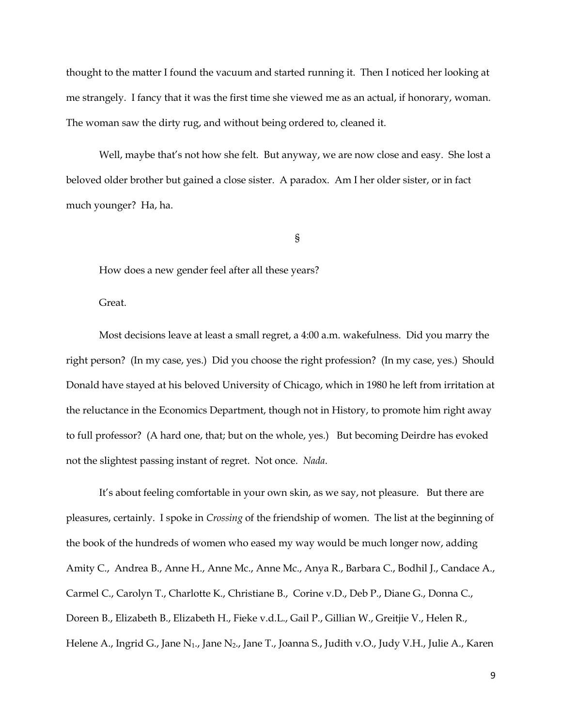thought to the matter I found the vacuum and started running it. Then I noticed her looking at me strangely. I fancy that it was the first time she viewed me as an actual, if honorary, woman. The woman saw the dirty rug, and without being ordered to, cleaned it.

Well, maybe that's not how she felt. But anyway, we are now close and easy. She lost a beloved older brother but gained a close sister. A paradox. Am I her older sister, or in fact much younger? Ha, ha.

§

How does a new gender feel after all these years?

Great.

Most decisions leave at least a small regret, a 4:00 a.m. wakefulness. Did you marry the right person? (In my case, yes.) Did you choose the right profession? (In my case, yes.) Should Donald have stayed at his beloved University of Chicago, which in 1980 he left from irritation at the reluctance in the Economics Department, though not in History, to promote him right away to full professor? (A hard one, that; but on the whole, yes.) But becoming Deirdre has evoked not the slightest passing instant of regret. Not once. *Nada*.

It's about feeling comfortable in your own skin, as we say, not pleasure. But there are pleasures, certainly. I spoke in *Crossing* of the friendship of women. The list at the beginning of the book of the hundreds of women who eased my way would be much longer now, adding Amity C., Andrea B., Anne H., Anne Mc., Anne Mc., Anya R., Barbara C., Bodhil J., Candace A., Carmel C., Carolyn T., Charlotte K., Christiane B., Corine v.D., Deb P., Diane G., Donna C., Doreen B., Elizabeth B., Elizabeth H., Fieke v.d.L., Gail P., Gillian W., Greitjie V., Helen R., Helene A., Ingrid G., Jane  $N_1$ ., Jane  $N_2$ ., Jane T., Joanna S., Judith v.O., Judy V.H., Julie A., Karen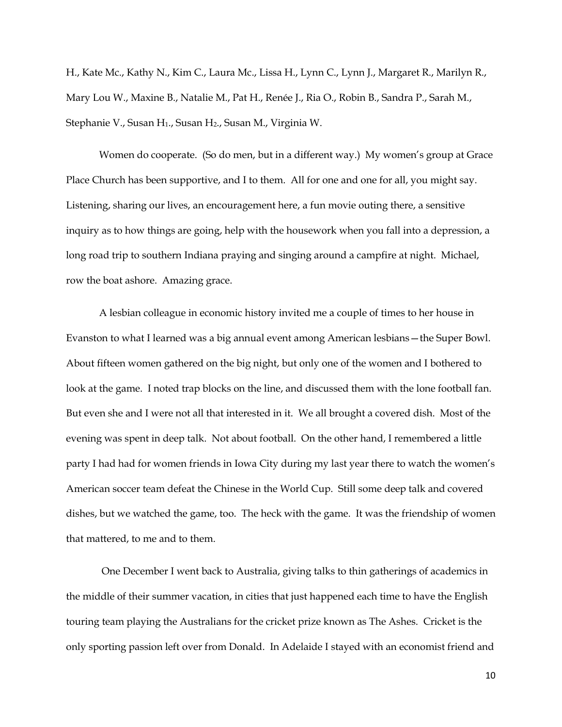H., Kate Mc., Kathy N., Kim C., Laura Mc., Lissa H., Lynn C., Lynn J., Margaret R., Marilyn R., Mary Lou W., Maxine B., Natalie M., Pat H., Renée J., Ria O., Robin B., Sandra P., Sarah M., Stephanie V., Susan H<sub>1</sub>., Susan H<sub>2</sub>., Susan M., Virginia W.

Women do cooperate. (So do men, but in a different way.) My women's group at Grace Place Church has been supportive, and I to them. All for one and one for all, you might say. Listening, sharing our lives, an encouragement here, a fun movie outing there, a sensitive inquiry as to how things are going, help with the housework when you fall into a depression, a long road trip to southern Indiana praying and singing around a campfire at night. Michael, row the boat ashore. Amazing grace.

A lesbian colleague in economic history invited me a couple of times to her house in Evanston to what I learned was a big annual event among American lesbians—the Super Bowl. About fifteen women gathered on the big night, but only one of the women and I bothered to look at the game. I noted trap blocks on the line, and discussed them with the lone football fan. But even she and I were not all that interested in it. We all brought a covered dish. Most of the evening was spent in deep talk. Not about football. On the other hand, I remembered a little party I had had for women friends in Iowa City during my last year there to watch the women's American soccer team defeat the Chinese in the World Cup. Still some deep talk and covered dishes, but we watched the game, too. The heck with the game. It was the friendship of women that mattered, to me and to them.

One December I went back to Australia, giving talks to thin gatherings of academics in the middle of their summer vacation, in cities that just happened each time to have the English touring team playing the Australians for the cricket prize known as The Ashes. Cricket is the only sporting passion left over from Donald. In Adelaide I stayed with an economist friend and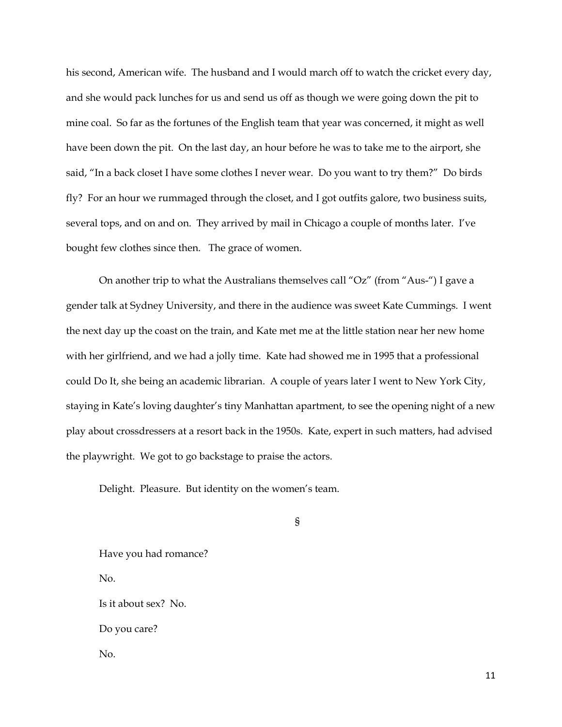his second, American wife. The husband and I would march off to watch the cricket every day, and she would pack lunches for us and send us off as though we were going down the pit to mine coal. So far as the fortunes of the English team that year was concerned, it might as well have been down the pit. On the last day, an hour before he was to take me to the airport, she said, "In a back closet I have some clothes I never wear. Do you want to try them?" Do birds fly? For an hour we rummaged through the closet, and I got outfits galore, two business suits, several tops, and on and on. They arrived by mail in Chicago a couple of months later. I've bought few clothes since then. The grace of women.

On another trip to what the Australians themselves call "Oz" (from "Aus-") I gave a gender talk at Sydney University, and there in the audience was sweet Kate Cummings. I went the next day up the coast on the train, and Kate met me at the little station near her new home with her girlfriend, and we had a jolly time. Kate had showed me in 1995 that a professional could Do It, she being an academic librarian. A couple of years later I went to New York City, staying in Kate's loving daughter's tiny Manhattan apartment, to see the opening night of a new play about crossdressers at a resort back in the 1950s. Kate, expert in such matters, had advised the playwright. We got to go backstage to praise the actors.

Delight. Pleasure. But identity on the women's team.

§

Have you had romance? No. Is it about sex? No. Do you care? No.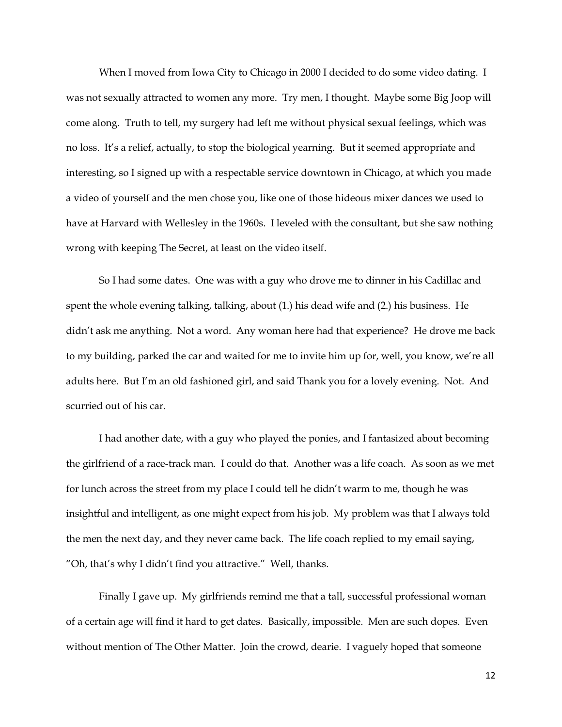When I moved from Iowa City to Chicago in 2000 I decided to do some video dating. I was not sexually attracted to women any more. Try men, I thought. Maybe some Big Joop will come along. Truth to tell, my surgery had left me without physical sexual feelings, which was no loss. It's a relief, actually, to stop the biological yearning. But it seemed appropriate and interesting, so I signed up with a respectable service downtown in Chicago, at which you made a video of yourself and the men chose you, like one of those hideous mixer dances we used to have at Harvard with Wellesley in the 1960s. I leveled with the consultant, but she saw nothing wrong with keeping The Secret, at least on the video itself.

So I had some dates. One was with a guy who drove me to dinner in his Cadillac and spent the whole evening talking, talking, about (1.) his dead wife and (2.) his business. He didn't ask me anything. Not a word. Any woman here had that experience? He drove me back to my building, parked the car and waited for me to invite him up for, well, you know, we're all adults here. But I'm an old fashioned girl, and said Thank you for a lovely evening. Not. And scurried out of his car.

I had another date, with a guy who played the ponies, and I fantasized about becoming the girlfriend of a race-track man. I could do that. Another was a life coach. As soon as we met for lunch across the street from my place I could tell he didn't warm to me, though he was insightful and intelligent, as one might expect from his job. My problem was that I always told the men the next day, and they never came back. The life coach replied to my email saying, "Oh, that's why I didn't find you attractive." Well, thanks.

Finally I gave up. My girlfriends remind me that a tall, successful professional woman of a certain age will find it hard to get dates. Basically, impossible. Men are such dopes. Even without mention of The Other Matter. Join the crowd, dearie. I vaguely hoped that someone

12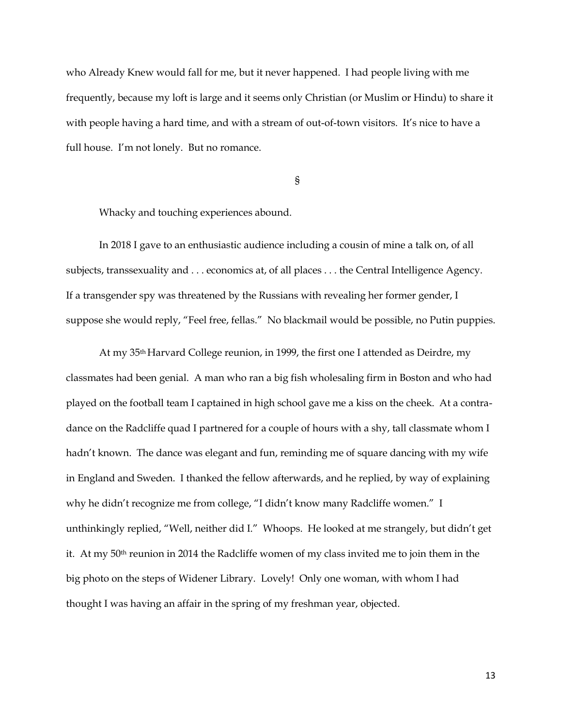who Already Knew would fall for me, but it never happened. I had people living with me frequently, because my loft is large and it seems only Christian (or Muslim or Hindu) to share it with people having a hard time, and with a stream of out-of-town visitors. It's nice to have a full house. I'm not lonely. But no romance.

§

Whacky and touching experiences abound.

In 2018 I gave to an enthusiastic audience including a cousin of mine a talk on, of all subjects, transsexuality and . . . economics at, of all places . . . the Central Intelligence Agency. If a transgender spy was threatened by the Russians with revealing her former gender, I suppose she would reply, "Feel free, fellas." No blackmail would be possible, no Putin puppies.

At my 35th Harvard College reunion, in 1999, the first one I attended as Deirdre, my classmates had been genial. A man who ran a big fish wholesaling firm in Boston and who had played on the football team I captained in high school gave me a kiss on the cheek. At a contradance on the Radcliffe quad I partnered for a couple of hours with a shy, tall classmate whom I hadn't known. The dance was elegant and fun, reminding me of square dancing with my wife in England and Sweden. I thanked the fellow afterwards, and he replied, by way of explaining why he didn't recognize me from college, "I didn't know many Radcliffe women." I unthinkingly replied, "Well, neither did I." Whoops. He looked at me strangely, but didn't get it. At my  $50<sup>th</sup>$  reunion in 2014 the Radcliffe women of my class invited me to join them in the big photo on the steps of Widener Library. Lovely! Only one woman, with whom I had thought I was having an affair in the spring of my freshman year, objected.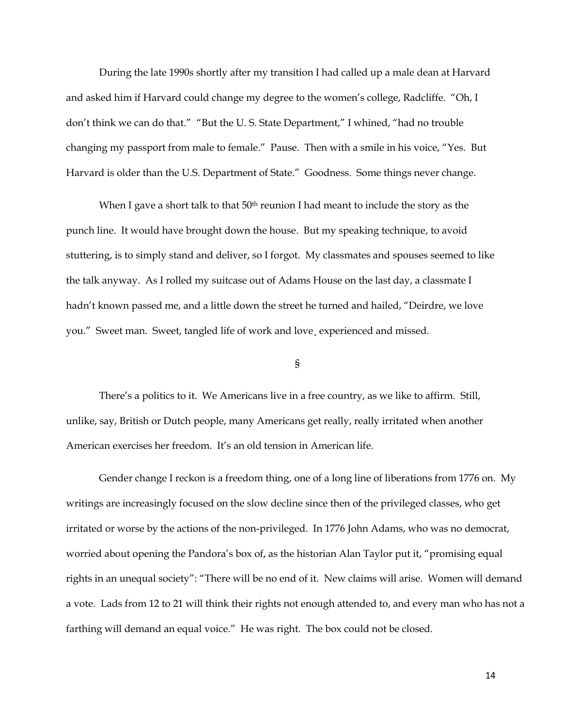During the late 1990s shortly after my transition I had called up a male dean at Harvard and asked him if Harvard could change my degree to the women's college, Radcliffe. "Oh, I don't think we can do that." "But the U. S. State Department," I whined, "had no trouble changing my passport from male to female." Pause. Then with a smile in his voice, "Yes. But Harvard is older than the U.S. Department of State." Goodness. Some things never change.

When I gave a short talk to that  $50<sup>th</sup>$  reunion I had meant to include the story as the punch line. It would have brought down the house. But my speaking technique, to avoid stuttering, is to simply stand and deliver, so I forgot. My classmates and spouses seemed to like the talk anyway. As I rolled my suitcase out of Adams House on the last day, a classmate I hadn't known passed me, and a little down the street he turned and hailed, "Deirdre, we love you." Sweet man. Sweet, tangled life of work and love¸ experienced and missed.

## §

There's a politics to it. We Americans live in a free country, as we like to affirm. Still, unlike, say, British or Dutch people, many Americans get really, really irritated when another American exercises her freedom. It's an old tension in American life.

Gender change I reckon is a freedom thing, one of a long line of liberations from 1776 on. My writings are increasingly focused on the slow decline since then of the privileged classes, who get irritated or worse by the actions of the non-privileged. In 1776 John Adams, who was no democrat, worried about opening the Pandora's box of, as the historian Alan Taylor put it, "promising equal rights in an unequal society": "There will be no end of it. New claims will arise. Women will demand a vote. Lads from 12 to 21 will think their rights not enough attended to, and every man who has not a farthing will demand an equal voice." He was right. The box could not be closed.